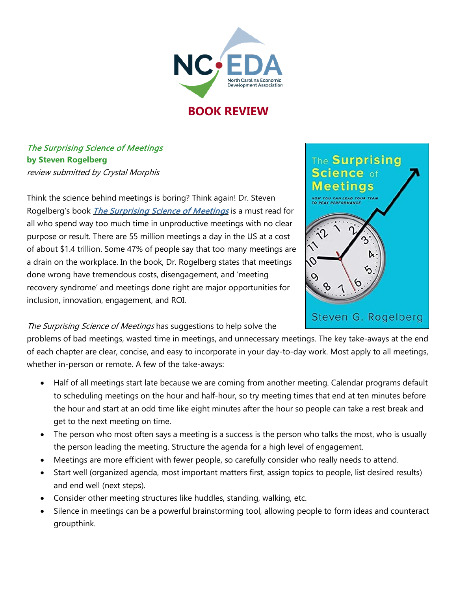

## **BOOK REVIEW**

## The Surprising Science of Meetings **by Steven Rogelberg** review submitted by Crystal Morphis

Think the science behind meetings is boring? Think again! Dr. Steven Rogelberg's book *[The Surprising Science of Meetings](https://www.amazon.com/Surprising-Science-Meetings-Lead-Performance/dp/0190689218)* is a must read for all who spend way too much time in unproductive meetings with no clear purpose or result. There are 55 million meetings a day in the US at a cost of about \$1.4 trillion. Some 47% of people say that too many meetings are a drain on the workplace. In the book, Dr. Rogelberg states that meetings done wrong have tremendous costs, disengagement, and 'meeting recovery syndrome' and meetings done right are major opportunities for inclusion, innovation, engagement, and ROI.



## The Surprising Science of Meetings has suggestions to help solve the

problems of bad meetings, wasted time in meetings, and unnecessary meetings. The key take-aways at the end of each chapter are clear, concise, and easy to incorporate in your day-to-day work. Most apply to all meetings, whether in-person or remote. A few of the take-aways:

- Half of all meetings start late because we are coming from another meeting. Calendar programs default to scheduling meetings on the hour and half-hour, so try meeting times that end at ten minutes before the hour and start at an odd time like eight minutes after the hour so people can take a rest break and get to the next meeting on time.
- The person who most often says a meeting is a success is the person who talks the most, who is usually the person leading the meeting. Structure the agenda for a high level of engagement.
- Meetings are more efficient with fewer people, so carefully consider who really needs to attend.
- Start well (organized agenda, most important matters first, assign topics to people, list desired results) and end well (next steps).
- Consider other meeting structures like huddles, standing, walking, etc.
- Silence in meetings can be a powerful brainstorming tool, allowing people to form ideas and counteract groupthink.